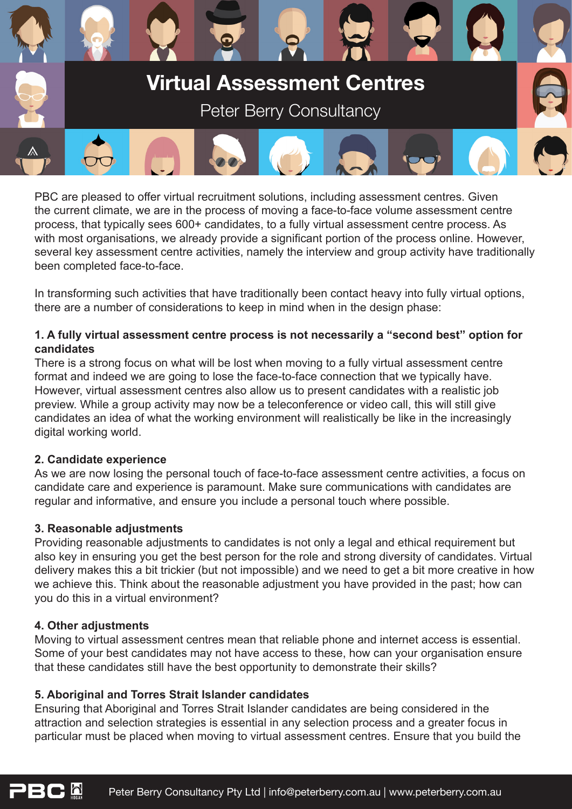

PBC are pleased to offer virtual recruitment solutions, including assessment centres. Given the current climate, we are in the process of moving a face-to-face volume assessment centre process, that typically sees 600+ candidates, to a fully virtual assessment centre process. As with most organisations, we already provide a significant portion of the process online. However, several key assessment centre activities, namely the interview and group activity have traditionally been completed face-to-face.

In transforming such activities that have traditionally been contact heavy into fully virtual options, there are a number of considerations to keep in mind when in the design phase:

## **1. A fully virtual assessment centre process is not necessarily a "second best" option for candidates**

There is a strong focus on what will be lost when moving to a fully virtual assessment centre format and indeed we are going to lose the face-to-face connection that we typically have. However, virtual assessment centres also allow us to present candidates with a realistic job preview. While a group activity may now be a teleconference or video call, this will still give candidates an idea of what the working environment will realistically be like in the increasingly digital working world.

## **2. Candidate experience**

As we are now losing the personal touch of face-to-face assessment centre activities, a focus on candidate care and experience is paramount. Make sure communications with candidates are regular and informative, and ensure you include a personal touch where possible.

## **3. Reasonable adjustments**

Providing reasonable adjustments to candidates is not only a legal and ethical requirement but also key in ensuring you get the best person for the role and strong diversity of candidates. Virtual delivery makes this a bit trickier (but not impossible) and we need to get a bit more creative in how we achieve this. Think about the reasonable adjustment you have provided in the past; how can you do this in a virtual environment?

# **4. Other adjustments**

Moving to virtual assessment centres mean that reliable phone and internet access is essential. Some of your best candidates may not have access to these, how can your organisation ensure that these candidates still have the best opportunity to demonstrate their skills?

# **5. Aboriginal and Torres Strait Islander candidates**

Ensuring that Aboriginal and Torres Strait Islander candidates are being considered in the attraction and selection strategies is essential in any selection process and a greater focus in particular must be placed when moving to virtual assessment centres. Ensure that you build the